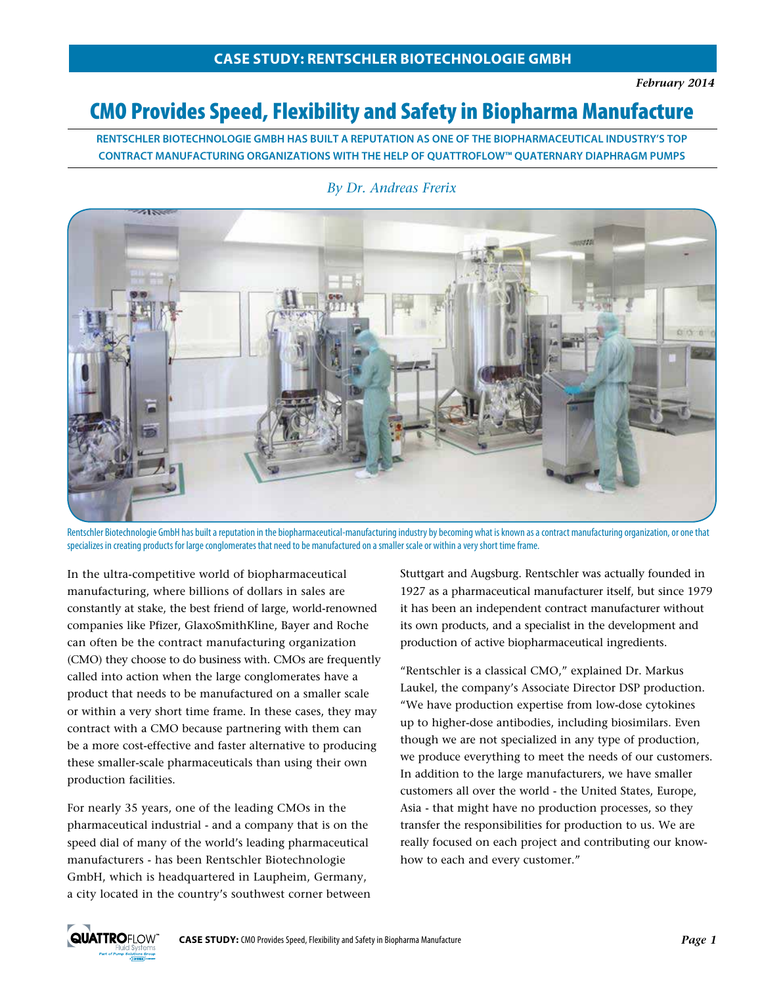# CMO Provides Speed, Flexibility and Safety in Biopharma Manufacture

**RENTSCHLER BIOTECHNOLOGIE GMBH HAS BUILT A REPUTATION AS ONE OF THE BIOPHARMACEUTICAL INDUSTRY'S TOP CONTRACT MANUFACTURING ORGANIZATIONS WITH THE HELP OF QUATTROFLOW™ QUATERNARY DIAPHRAGM PUMPS** 



#### *By Dr. Andreas Frerix*

Rentschler Biotechnologie GmbH has built a reputation in the biopharmaceutical-manufacturing industry by becoming what is known as a contract manufacturing organization, or one that specializes in creating products for large conglomerates that need to be manufactured on a smaller scale or within a very short time frame.

In the ultra-competitive world of biopharmaceutical manufacturing, where billions of dollars in sales are constantly at stake, the best friend of large, world-renowned companies like Pfizer, GlaxoSmithKline, Bayer and Roche can often be the contract manufacturing organization (CMO) they choose to do business with. CMOs are frequently called into action when the large conglomerates have a product that needs to be manufactured on a smaller scale or within a very short time frame. In these cases, they may contract with a CMO because partnering with them can be a more cost-effective and faster alternative to producing these smaller-scale pharmaceuticals than using their own production facilities.

For nearly 35 years, one of the leading CMOs in the pharmaceutical industrial - and a company that is on the speed dial of many of the world's leading pharmaceutical manufacturers - has been Rentschler Biotechnologie GmbH, which is headquartered in Laupheim, Germany, a city located in the country's southwest corner between Stuttgart and Augsburg. Rentschler was actually founded in 1927 as a pharmaceutical manufacturer itself, but since 1979 it has been an independent contract manufacturer without its own products, and a specialist in the development and production of active biopharmaceutical ingredients.

"Rentschler is a classical CMO," explained Dr. Markus Laukel, the company's Associate Director DSP production. "We have production expertise from low-dose cytokines up to higher-dose antibodies, including biosimilars. Even though we are not specialized in any type of production, we produce everything to meet the needs of our customers. In addition to the large manufacturers, we have smaller customers all over the world - the United States, Europe, Asia - that might have no production processes, so they transfer the responsibilities for production to us. We are really focused on each project and contributing our knowhow to each and every customer."

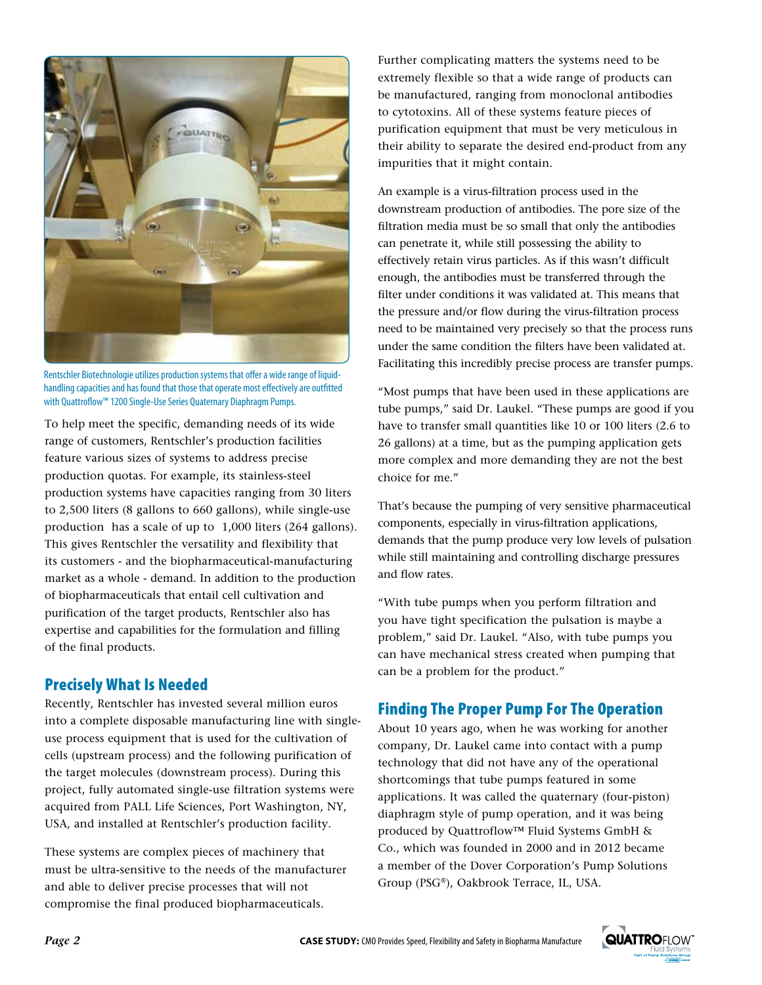

Rentschler Biotechnologie utilizes production systems that offer a wide range of liquidhandling capacities and has found that those that operate most effectively are outfitted with Quattroflow™ 1200 Single-Use Series Quaternary Diaphragm Pumps.

To help meet the specific, demanding needs of its wide range of customers, Rentschler's production facilities feature various sizes of systems to address precise production quotas. For example, its stainless-steel production systems have capacities ranging from 30 liters to 2,500 liters (8 gallons to 660 gallons), while single-use production has a scale of up to 1,000 liters (264 gallons). This gives Rentschler the versatility and flexibility that its customers - and the biopharmaceutical-manufacturing market as a whole - demand. In addition to the production of biopharmaceuticals that entail cell cultivation and purification of the target products, Rentschler also has expertise and capabilities for the formulation and filling of the final products.

### Precisely What Is Needed

Recently, Rentschler has invested several million euros into a complete disposable manufacturing line with singleuse process equipment that is used for the cultivation of cells (upstream process) and the following purification of the target molecules (downstream process). During this project, fully automated single-use filtration systems were acquired from PALL Life Sciences, Port Washington, NY, USA, and installed at Rentschler's production facility.

These systems are complex pieces of machinery that must be ultra-sensitive to the needs of the manufacturer and able to deliver precise processes that will not compromise the final produced biopharmaceuticals.

Further complicating matters the systems need to be extremely flexible so that a wide range of products can be manufactured, ranging from monoclonal antibodies to cytotoxins. All of these systems feature pieces of purification equipment that must be very meticulous in their ability to separate the desired end-product from any impurities that it might contain.

An example is a virus-filtration process used in the downstream production of antibodies. The pore size of the filtration media must be so small that only the antibodies can penetrate it, while still possessing the ability to effectively retain virus particles. As if this wasn't difficult enough, the antibodies must be transferred through the filter under conditions it was validated at. This means that the pressure and/or flow during the virus-filtration process need to be maintained very precisely so that the process runs under the same condition the filters have been validated at. Facilitating this incredibly precise process are transfer pumps.

"Most pumps that have been used in these applications are tube pumps," said Dr. Laukel. "These pumps are good if you have to transfer small quantities like 10 or 100 liters (2.6 to 26 gallons) at a time, but as the pumping application gets more complex and more demanding they are not the best choice for me."

That's because the pumping of very sensitive pharmaceutical components, especially in virus-filtration applications, demands that the pump produce very low levels of pulsation while still maintaining and controlling discharge pressures and flow rates.

"With tube pumps when you perform filtration and you have tight specification the pulsation is maybe a problem," said Dr. Laukel. "Also, with tube pumps you can have mechanical stress created when pumping that can be a problem for the product."

## Finding The Proper Pump For The Operation

About 10 years ago, when he was working for another company, Dr. Laukel came into contact with a pump technology that did not have any of the operational shortcomings that tube pumps featured in some applications. It was called the quaternary (four-piston) diaphragm style of pump operation, and it was being produced by Quattroflow™ Fluid Systems GmbH & Co., which was founded in 2000 and in 2012 became a member of the Dover Corporation's Pump Solutions Group (PSG®), Oakbrook Terrace, IL, USA.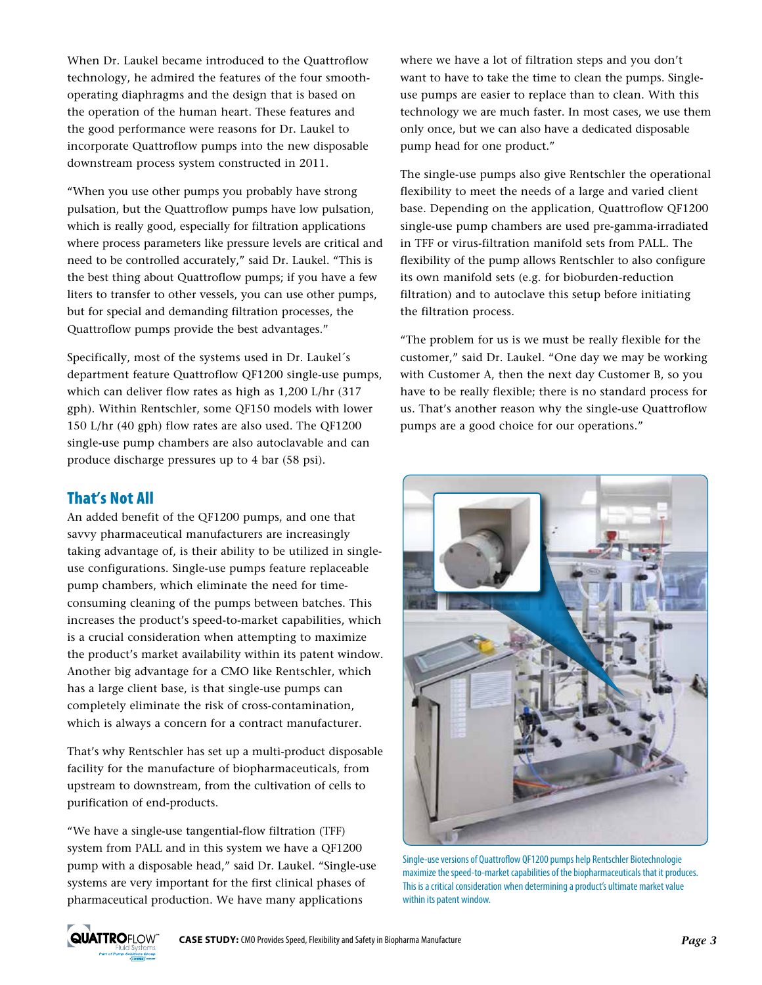When Dr. Laukel became introduced to the Quattroflow technology, he admired the features of the four smoothoperating diaphragms and the design that is based on the operation of the human heart. These features and the good performance were reasons for Dr. Laukel to incorporate Quattroflow pumps into the new disposable downstream process system constructed in 2011.

"When you use other pumps you probably have strong pulsation, but the Quattroflow pumps have low pulsation, which is really good, especially for filtration applications where process parameters like pressure levels are critical and need to be controlled accurately," said Dr. Laukel. "This is the best thing about Quattroflow pumps; if you have a few liters to transfer to other vessels, you can use other pumps, but for special and demanding filtration processes, the Quattroflow pumps provide the best advantages."

Specifically, most of the systems used in Dr. Laukel´s department feature Quattroflow QF1200 single-use pumps, which can deliver flow rates as high as 1,200 L/hr (317 gph). Within Rentschler, some QF150 models with lower 150 L/hr (40 gph) flow rates are also used. The QF1200 single-use pump chambers are also autoclavable and can produce discharge pressures up to 4 bar (58 psi).

### That's Not All

An added benefit of the QF1200 pumps, and one that savvy pharmaceutical manufacturers are increasingly taking advantage of, is their ability to be utilized in singleuse configurations. Single-use pumps feature replaceable pump chambers, which eliminate the need for timeconsuming cleaning of the pumps between batches. This increases the product's speed-to-market capabilities, which is a crucial consideration when attempting to maximize the product's market availability within its patent window. Another big advantage for a CMO like Rentschler, which has a large client base, is that single-use pumps can completely eliminate the risk of cross-contamination, which is always a concern for a contract manufacturer.

That's why Rentschler has set up a multi-product disposable facility for the manufacture of biopharmaceuticals, from upstream to downstream, from the cultivation of cells to purification of end-products.

"We have a single-use tangential-flow filtration (TFF) system from PALL and in this system we have a QF1200 pump with a disposable head," said Dr. Laukel. "Single-use systems are very important for the first clinical phases of pharmaceutical production. We have many applications

where we have a lot of filtration steps and you don't want to have to take the time to clean the pumps. Singleuse pumps are easier to replace than to clean. With this technology we are much faster. In most cases, we use them only once, but we can also have a dedicated disposable pump head for one product."

The single-use pumps also give Rentschler the operational flexibility to meet the needs of a large and varied client base. Depending on the application, Quattroflow QF1200 single-use pump chambers are used pre-gamma-irradiated in TFF or virus-filtration manifold sets from PALL. The flexibility of the pump allows Rentschler to also configure its own manifold sets (e.g. for bioburden-reduction filtration) and to autoclave this setup before initiating the filtration process.

"The problem for us is we must be really flexible for the customer," said Dr. Laukel. "One day we may be working with Customer A, then the next day Customer B, so you have to be really flexible; there is no standard process for us. That's another reason why the single-use Quattroflow pumps are a good choice for our operations."



Single-use versions of Quattroflow QF1200 pumps help Rentschler Biotechnologie maximize the speed-to-market capabilities of the biopharmaceuticals that it produces. This is a critical consideration when determining a product's ultimate market value within its patent window.